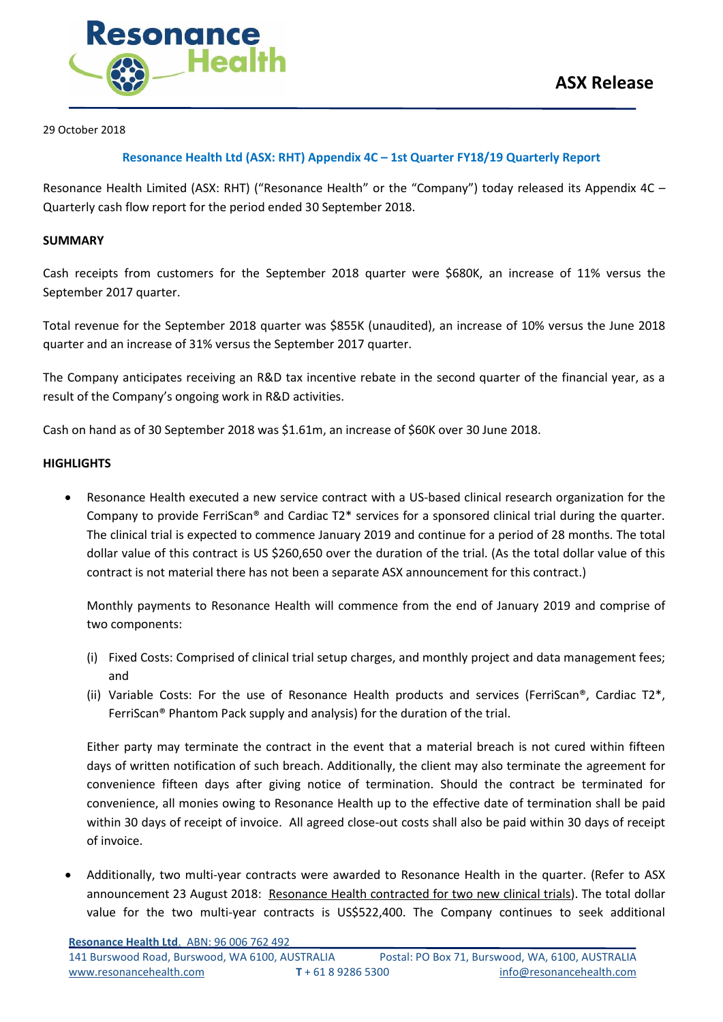

29 October 2018

### **Resonance Health Ltd (ASX: RHT) Appendix 4C – 1st Quarter FY18/19 Quarterly Report**

Resonance Health Limited (ASX: RHT) ("Resonance Health" or the "Company") today released its Appendix 4C -Quarterly cash flow report for the period ended 30 September 2018.

#### **SUMMARY**

Cash receipts from customers for the September 2018 quarter were \$680K, an increase of 11% versus the September 2017 quarter.

Total revenue for the September 2018 quarter was \$855K (unaudited), an increase of 10% versus the June 2018 quarter and an increase of 31% versus the September 2017 quarter.

The Company anticipates receiving an R&D tax incentive rebate in the second quarter of the financial year, as a result of the Company's ongoing work in R&D activities.

Cash on hand as of 30 September 2018 was \$1.61m, an increase of \$60K over 30 June 2018.

#### **HIGHLIGHTS**

 Resonance Health executed a new service contract with a US-based clinical research organization for the Company to provide FerriScan® and Cardiac T2\* services for a sponsored clinical trial during the quarter. The clinical trial is expected to commence January 2019 and continue for a period of 28 months. The total dollar value of this contract is US \$260,650 over the duration of the trial. (As the total dollar value of this contract is not material there has not been a separate ASX announcement for this contract.)

Monthly payments to Resonance Health will commence from the end of January 2019 and comprise of two components:

- (i) Fixed Costs: Comprised of clinical trial setup charges, and monthly project and data management fees; and
- (ii) Variable Costs: For the use of Resonance Health products and services (FerriScan®, Cardiac T2\*, FerriScan® Phantom Pack supply and analysis) for the duration of the trial.

Either party may terminate the contract in the event that a material breach is not cured within fifteen days of written notification of such breach. Additionally, the client may also terminate the agreement for convenience fifteen days after giving notice of termination. Should the contract be terminated for convenience, all monies owing to Resonance Health up to the effective date of termination shall be paid within 30 days of receipt of invoice. All agreed close-out costs shall also be paid within 30 days of receipt of invoice.

 Additionally, two multi-year contracts were awarded to Resonance Health in the quarter. (Refer to ASX announcement 23 August 2018: Resonance Health contracted for two new clinical trials). The total dollar value for the two multi-year contracts is US\$522,400. The Company continues to seek additional

**Resonance Health Ltd**. ABN: 96 006 762 492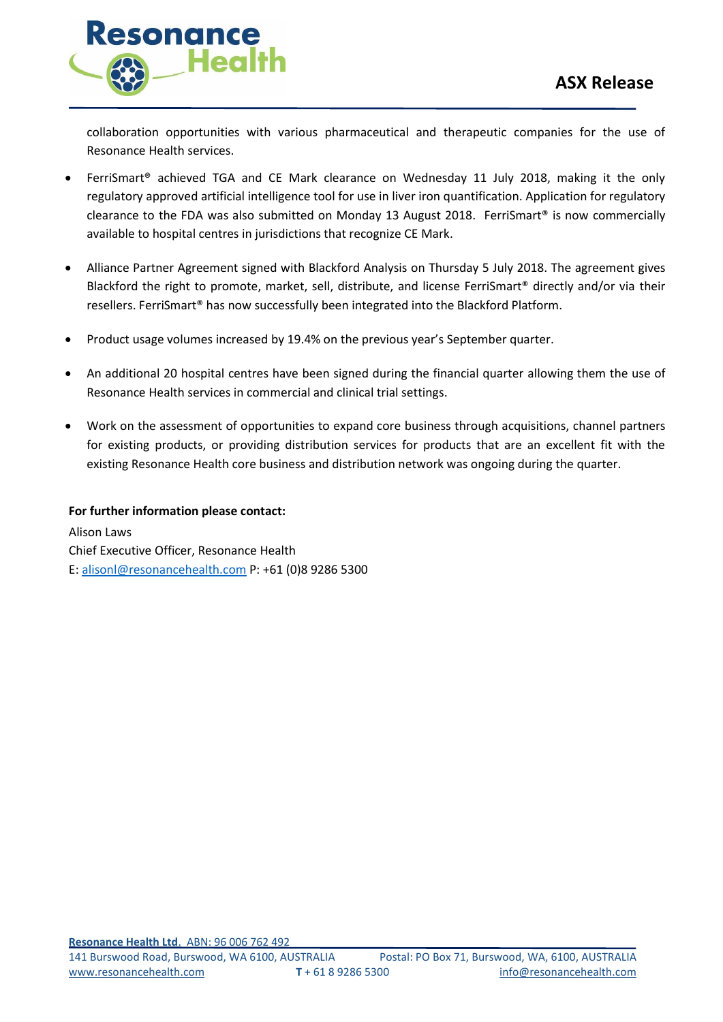

collaboration opportunities with various pharmaceutical and therapeutic companies for the use of Resonance Health services.

- FerriSmart® achieved TGA and CE Mark clearance on Wednesday 11 July 2018, making it the only regulatory approved artificial intelligence tool for use in liver iron quantification. Application for regulatory clearance to the FDA was also submitted on Monday 13 August 2018. FerriSmart® is now commercially available to hospital centres in jurisdictions that recognize CE Mark.
- Alliance Partner Agreement signed with Blackford Analysis on Thursday 5 July 2018. The agreement gives Blackford the right to promote, market, sell, distribute, and license FerriSmart® directly and/or via their resellers. FerriSmart® has now successfully been integrated into the Blackford Platform.
- Product usage volumes increased by 19.4% on the previous year's September quarter.
- An additional 20 hospital centres have been signed during the financial quarter allowing them the use of Resonance Health services in commercial and clinical trial settings.
- Work on the assessment of opportunities to expand core business through acquisitions, channel partners for existing products, or providing distribution services for products that are an excellent fit with the existing Resonance Health core business and distribution network was ongoing during the quarter.

### **For further information please contact:**

Alison Laws Chief Executive Officer, Resonance Health E: [alisonl@resonancehealth.com](mailto:alisonl@resonancehealth.com) P: +61 (0)8 9286 5300

**Resonance Health Ltd**. ABN: 96 006 762 492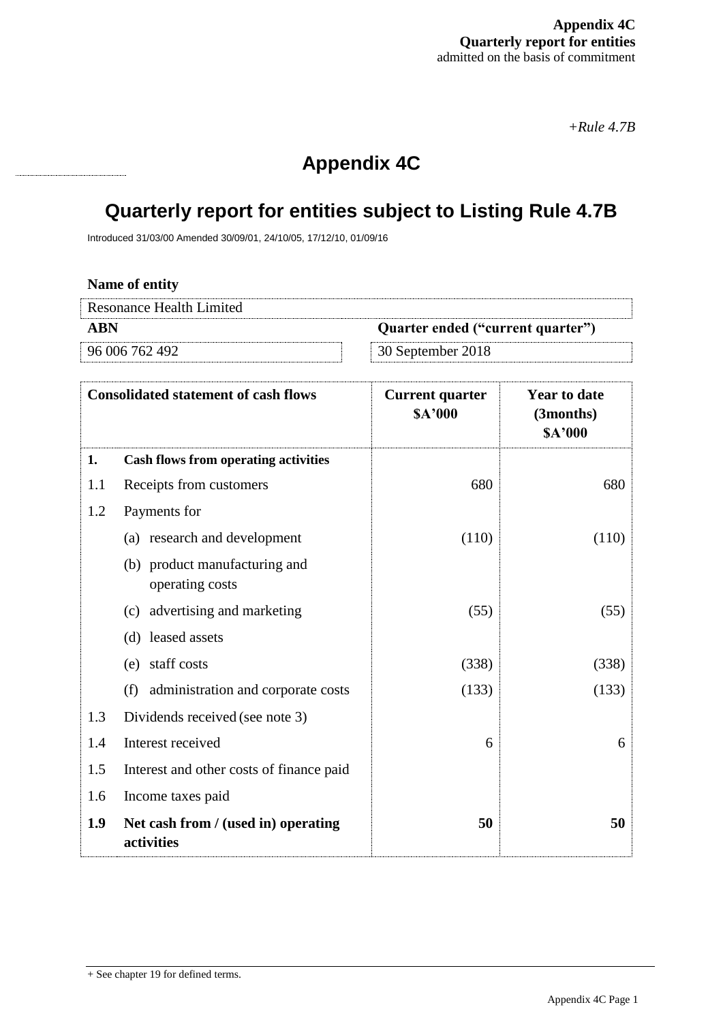*+Rule 4.7B*

## **Appendix 4C**

# **Quarterly report for entities subject to Listing Rule 4.7B**

Introduced 31/03/00 Amended 30/09/01, 24/10/05, 17/12/10, 01/09/16

| Name of entity                  |                                   |
|---------------------------------|-----------------------------------|
| <b>Resonance Health Limited</b> |                                   |
| ABN                             | Quarter ended ("current quarter") |
| 96 006 762 492                  | $\approx$ 30 September 2018       |
|                                 |                                   |

| <b>Consolidated statement of cash flows</b> |                                                   | <b>Current quarter</b><br><b>SA'000</b> | <b>Year to date</b><br>(3months)<br>\$A'000 |
|---------------------------------------------|---------------------------------------------------|-----------------------------------------|---------------------------------------------|
| 1.                                          | <b>Cash flows from operating activities</b>       |                                         |                                             |
| 1.1                                         | Receipts from customers                           | 680                                     | 680                                         |
| 1.2                                         | Payments for                                      |                                         |                                             |
|                                             | (a) research and development                      | (110)                                   | (110)                                       |
|                                             | (b) product manufacturing and<br>operating costs  |                                         |                                             |
|                                             | (c) advertising and marketing                     | (55)                                    | (55)                                        |
|                                             | (d) leased assets                                 |                                         |                                             |
|                                             | (e) staff costs                                   | (338)                                   | (338)                                       |
|                                             | administration and corporate costs<br>(f)         | (133)                                   | (133)                                       |
| 1.3                                         | Dividends received (see note 3)                   |                                         |                                             |
| 1.4                                         | Interest received                                 | 6                                       | 6                                           |
| 1.5                                         | Interest and other costs of finance paid          |                                         |                                             |
| 1.6                                         | Income taxes paid                                 |                                         |                                             |
| 1.9                                         | Net cash from / (used in) operating<br>activities | 50                                      | 50                                          |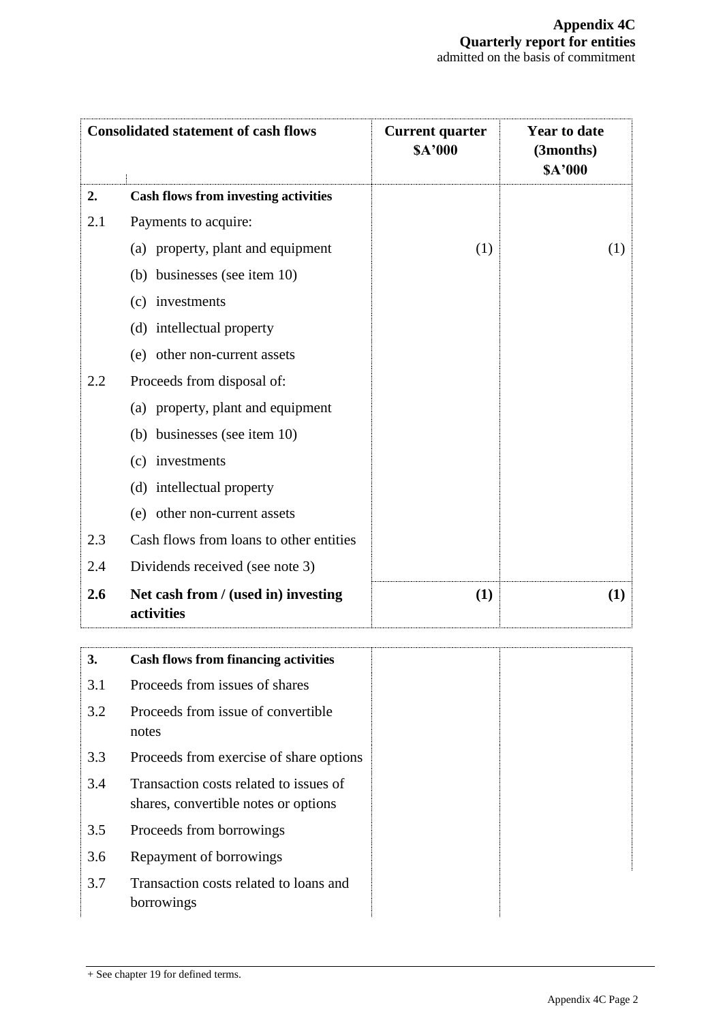| <b>Consolidated statement of cash flows</b> |                                                                                | <b>Current quarter</b><br>\$A'000 | <b>Year to date</b><br>(3months)<br>\$A'000 |
|---------------------------------------------|--------------------------------------------------------------------------------|-----------------------------------|---------------------------------------------|
| 2.                                          | <b>Cash flows from investing activities</b>                                    |                                   |                                             |
| 2.1                                         | Payments to acquire:                                                           |                                   |                                             |
|                                             | (a) property, plant and equipment                                              | (1)                               | (1)                                         |
|                                             | (b) businesses (see item 10)                                                   |                                   |                                             |
|                                             | investments<br>(c)                                                             |                                   |                                             |
|                                             | (d) intellectual property                                                      |                                   |                                             |
|                                             | (e) other non-current assets                                                   |                                   |                                             |
| 2.2                                         | Proceeds from disposal of:                                                     |                                   |                                             |
|                                             | (a) property, plant and equipment                                              |                                   |                                             |
|                                             | (b) businesses (see item 10)                                                   |                                   |                                             |
|                                             | investments<br>(c)                                                             |                                   |                                             |
|                                             | (d) intellectual property                                                      |                                   |                                             |
|                                             | (e) other non-current assets                                                   |                                   |                                             |
| 2.3                                         | Cash flows from loans to other entities                                        |                                   |                                             |
| 2.4                                         | Dividends received (see note 3)                                                |                                   |                                             |
| 2.6                                         | Net cash from / (used in) investing<br>activities                              | (1)                               | (1)                                         |
| 3.                                          | <b>Cash flows from financing activities</b>                                    |                                   |                                             |
| 3.1                                         | Proceeds from issues of shares                                                 |                                   |                                             |
| 3.2                                         | Proceeds from issue of convertible<br>notes                                    |                                   |                                             |
| 3.3                                         | Proceeds from exercise of share options                                        |                                   |                                             |
| 3.4                                         | Transaction costs related to issues of<br>shares, convertible notes or options |                                   |                                             |
| 3.5                                         | Proceeds from borrowings                                                       |                                   |                                             |
| 3.6                                         | Repayment of borrowings                                                        |                                   |                                             |
| 3.7                                         | Transaction costs related to loans and<br>borrowings                           |                                   |                                             |

<sup>+</sup> See chapter 19 for defined terms.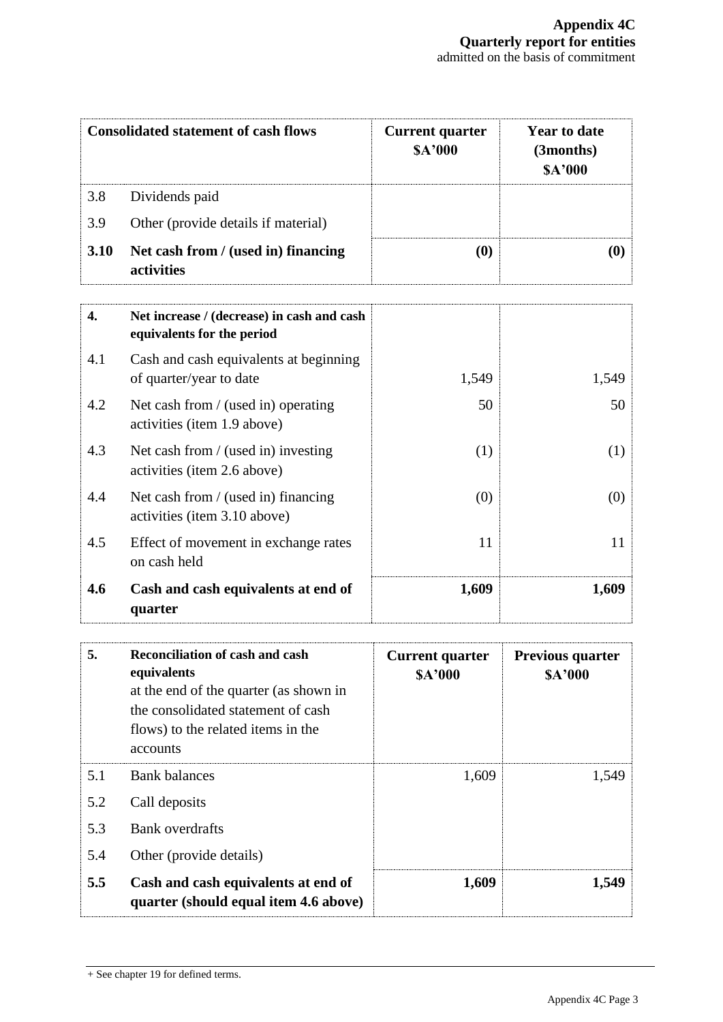| <b>Consolidated statement of cash flows</b> |                                                                          | <b>Current quarter</b><br><b>SA'000</b> | <b>Year to date</b><br>(3months)<br>\$A'000 |
|---------------------------------------------|--------------------------------------------------------------------------|-----------------------------------------|---------------------------------------------|
| 3.8                                         | Dividends paid                                                           |                                         |                                             |
| 3.9                                         | Other (provide details if material)                                      |                                         |                                             |
| 3.10                                        | Net cash from / (used in) financing<br>activities                        | (0)                                     | (0)                                         |
| 4.                                          | Net increase / (decrease) in cash and cash<br>equivalents for the period |                                         |                                             |
| 4.1                                         | Cash and cash equivalents at beginning<br>of quarter/year to date        | 1,549                                   | 1,549                                       |
| 4.2                                         | Net cash from / (used in) operating<br>activities (item 1.9 above)       | 50                                      | 50                                          |
| 4.3                                         | Net cash from / (used in) investing<br>activities (item 2.6 above)       | (1)                                     | (1)                                         |
| 4.4                                         | Net cash from / (used in) financing<br>activities (item 3.10 above)      | (0)                                     | (0)                                         |
| 4.5                                         | Effect of movement in exchange rates<br>on cash held                     | 11                                      | 11                                          |
| 4.6                                         | Cash and cash equivalents at end of<br>quarter                           | 1,609                                   | 1,609                                       |

| 5.  | <b>Reconciliation of cash and cash</b><br>equivalents<br>at the end of the quarter (as shown in<br>the consolidated statement of cash<br>flows) to the related items in the<br>accounts | <b>Current quarter</b><br>\$A'000 | <b>Previous quarter</b><br>\$A'000 |
|-----|-----------------------------------------------------------------------------------------------------------------------------------------------------------------------------------------|-----------------------------------|------------------------------------|
| 5.1 | <b>Bank balances</b>                                                                                                                                                                    | 1,609                             | 1,549                              |
| 5.2 | Call deposits                                                                                                                                                                           |                                   |                                    |
| 5.3 | <b>Bank</b> overdrafts                                                                                                                                                                  |                                   |                                    |
| 5.4 | Other (provide details)                                                                                                                                                                 |                                   |                                    |
| 5.5 | Cash and cash equivalents at end of<br>quarter (should equal item 4.6 above)                                                                                                            | 1,609                             | 1,549                              |

<sup>+</sup> See chapter 19 for defined terms.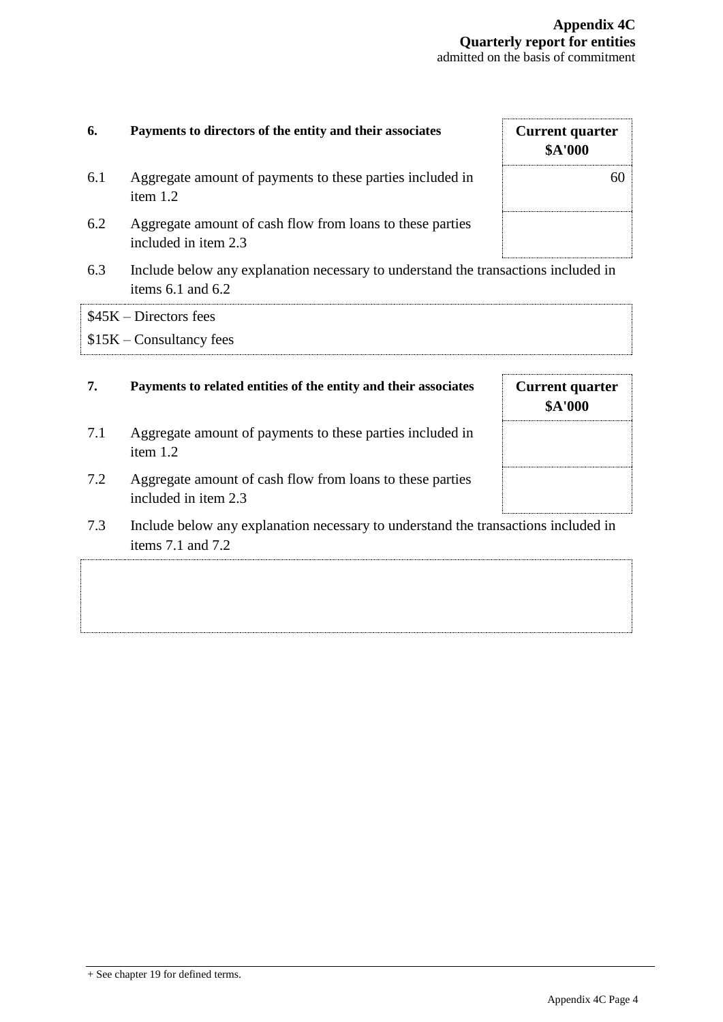| 6.  | Payments to directors of the entity and their associates                                                | <b>Current quarter</b><br>\$A'000        |
|-----|---------------------------------------------------------------------------------------------------------|------------------------------------------|
| 6.1 | Aggregate amount of payments to these parties included in<br>item 1.2                                   | 60                                       |
| 6.2 | Aggregate amount of cash flow from loans to these parties<br>included in item 2.3                       |                                          |
| 6.3 | Include below any explanation necessary to understand the transactions included in<br>items 6.1 and 6.2 |                                          |
|     | $$45K - Directors$ fees                                                                                 |                                          |
|     | $$15K$ – Consultancy fees                                                                               |                                          |
| 7.  | Payments to related entities of the entity and their associates                                         | <b>Current quarter</b><br><b>\$A'000</b> |
| 7.1 | Aggregate amount of payments to these parties included in<br>item 1.2                                   |                                          |
| 7.2 | Aggregate amount of cash flow from loans to these parties                                               |                                          |
|     | included in item 2.3                                                                                    |                                          |
| 7.3 | Include below any explanation necessary to understand the transactions included in<br>items 7.1 and 7.2 |                                          |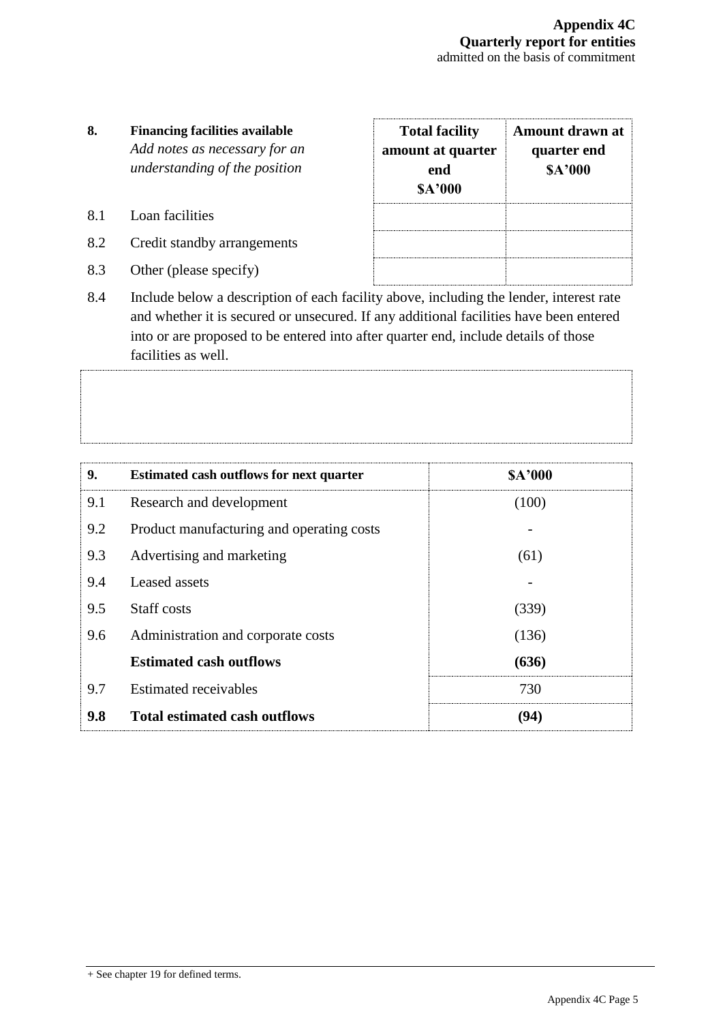### **8. Financing facilities available** *Add notes as necessary for an understanding of the position*

- 8.1 Loan facilities
- 8.2 Credit standby arrangements
- 8.3 Other (please specify)

| <b>Total facility</b><br>amount at quarter<br>end<br><b>SA'000</b> | Amount drawn at<br>quarter end<br><b>SA'000</b> |
|--------------------------------------------------------------------|-------------------------------------------------|
|                                                                    |                                                 |

8.4 Include below a description of each facility above, including the lender, interest rate and whether it is secured or unsecured. If any additional facilities have been entered into or are proposed to be entered into after quarter end, include details of those facilities as well.

| 9.  | <b>Estimated cash outflows for next quarter</b> | <b>\$A'000</b> |
|-----|-------------------------------------------------|----------------|
| 9.1 | Research and development                        | (100)          |
| 9.2 | Product manufacturing and operating costs       |                |
| 9.3 | Advertising and marketing                       | (61)           |
| 9.4 | Leased assets                                   |                |
| 9.5 | Staff costs                                     | (339)          |
| 9.6 | Administration and corporate costs              | (136)          |
|     | <b>Estimated cash outflows</b>                  | (636)          |
| 9.7 | <b>Estimated receivables</b>                    | 730            |
| 9.8 | <b>Total estimated cash outflows</b>            | (94)           |